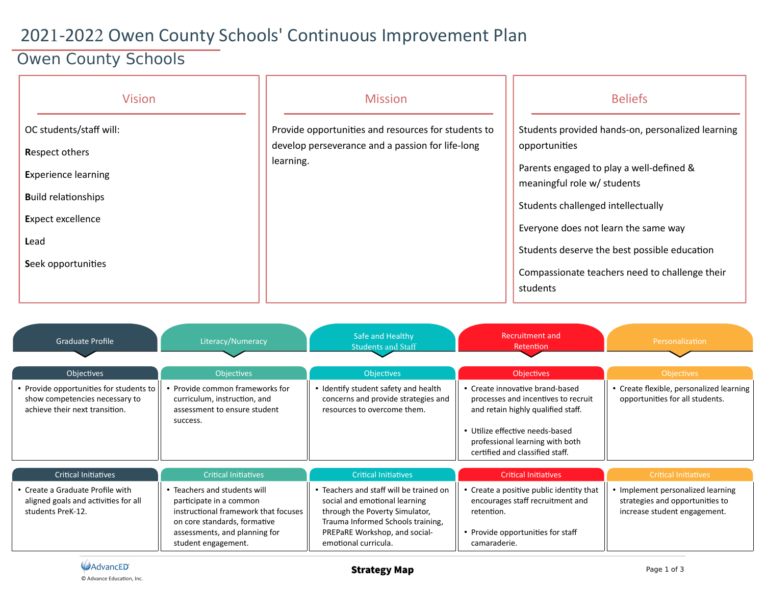## 2021-2022 Owen County Schools' Continuous Improvement Plan

## Owen County Schools

| <b>Vision</b>                                                                                                                                                          | <b>Mission</b>                                                                                                       | <b>Beliefs</b>                                                                                                                                                                                                                                                                                                                            |
|------------------------------------------------------------------------------------------------------------------------------------------------------------------------|----------------------------------------------------------------------------------------------------------------------|-------------------------------------------------------------------------------------------------------------------------------------------------------------------------------------------------------------------------------------------------------------------------------------------------------------------------------------------|
| OC students/staff will:<br><b>Respect others</b><br><b>Experience learning</b><br><b>Build relationships</b><br><b>Expect excellence</b><br>Lead<br>Seek opportunities | Provide opportunities and resources for students to<br>develop perseverance and a passion for life-long<br>learning. | Students provided hands-on, personalized learning<br>opportunities<br>Parents engaged to play a well-defined &<br>meaningful role w/ students<br>Students challenged intellectually<br>Everyone does not learn the same way<br>Students deserve the best possible education<br>Compassionate teachers need to challenge their<br>students |

| <b>Graduate Profile</b>                                                                                     | Literacy/Numeracy                                                                                                                                                                       | Safe and Healthy<br><b>Students and Staff</b>                                                                                                                                                            | Recruitment and<br>Retention                                                                                                                                                                                          | Personalization                                                                                      |
|-------------------------------------------------------------------------------------------------------------|-----------------------------------------------------------------------------------------------------------------------------------------------------------------------------------------|----------------------------------------------------------------------------------------------------------------------------------------------------------------------------------------------------------|-----------------------------------------------------------------------------------------------------------------------------------------------------------------------------------------------------------------------|------------------------------------------------------------------------------------------------------|
| Objectives                                                                                                  | <b>Objectives</b>                                                                                                                                                                       | <b>Objectives</b>                                                                                                                                                                                        | <b>Objectives</b>                                                                                                                                                                                                     | <b>Objectives</b>                                                                                    |
| • Provide opportunities for students to<br>show competencies necessary to<br>achieve their next transition. | • Provide common frameworks for<br>curriculum, instruction, and<br>assessment to ensure student<br>success.                                                                             | • Identify student safety and health<br>concerns and provide strategies and<br>resources to overcome them.                                                                                               | • Create innovative brand-based<br>processes and incentives to recruit<br>and retain highly qualified staff.<br>• Utilize effective needs-based<br>professional learning with both<br>certified and classified staff. | • Create flexible, personalized learning<br>opportunities for all students.                          |
| <b>Critical Initiatives</b>                                                                                 | <b>Critical Initiatives</b>                                                                                                                                                             | <b>Critical Initiatives</b>                                                                                                                                                                              | <b>Critical Initiatives</b>                                                                                                                                                                                           | <b>Critical Initiatives</b>                                                                          |
| • Create a Graduate Profile with<br>aligned goals and activities for all<br>students PreK-12.               | • Teachers and students will<br>participate in a common<br>instructional framework that focuses<br>on core standards, formative<br>assessments, and planning for<br>student engagement. | • Teachers and staff will be trained on<br>social and emotional learning<br>through the Poverty Simulator,<br>Trauma Informed Schools training,<br>PREPaRE Workshop, and social-<br>emotional curricula. | • Create a positive public identity that<br>encourages staff recruitment and<br>retention.<br>• Provide opportunities for staff<br>camaraderie.                                                                       | • Implement personalized learning<br>strategies and opportunities to<br>increase student engagement. |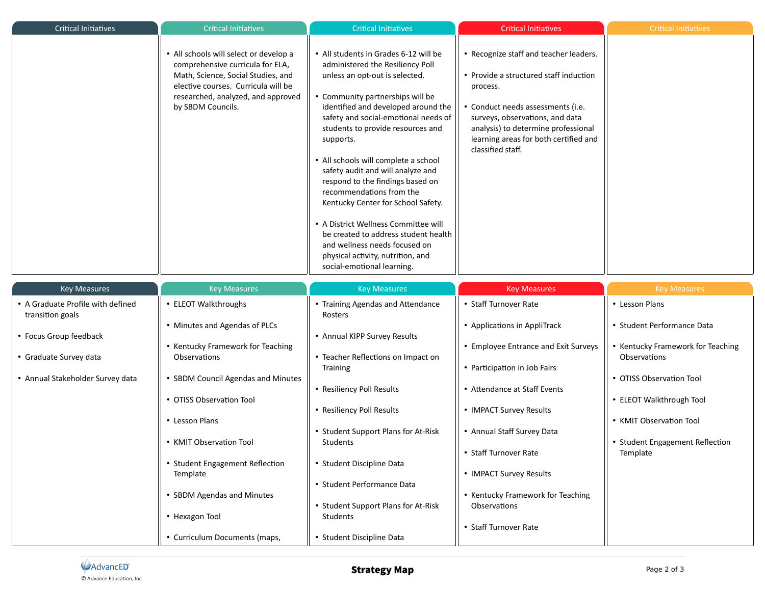| <b>Critical Initiatives</b>                                                                                                                   | <b>Critical Initiatives</b>                                                                                                                                                                                                                                                                                                                               | <b>Critical Initiatives</b>                                                                                                                                                                                                                                                                                                                                                                                                                                                                                                                                                                                                                             | <b>Critical Initiatives</b>                                                                                                                                                                                                                                                                                                                              | <b>Critical Initiatives</b>                                                                                                                                                                                                         |
|-----------------------------------------------------------------------------------------------------------------------------------------------|-----------------------------------------------------------------------------------------------------------------------------------------------------------------------------------------------------------------------------------------------------------------------------------------------------------------------------------------------------------|---------------------------------------------------------------------------------------------------------------------------------------------------------------------------------------------------------------------------------------------------------------------------------------------------------------------------------------------------------------------------------------------------------------------------------------------------------------------------------------------------------------------------------------------------------------------------------------------------------------------------------------------------------|----------------------------------------------------------------------------------------------------------------------------------------------------------------------------------------------------------------------------------------------------------------------------------------------------------------------------------------------------------|-------------------------------------------------------------------------------------------------------------------------------------------------------------------------------------------------------------------------------------|
|                                                                                                                                               | • All schools will select or develop a<br>comprehensive curricula for ELA,<br>Math, Science, Social Studies, and<br>elective courses. Curricula will be<br>researched, analyzed, and approved<br>by SBDM Councils.                                                                                                                                        | • All students in Grades 6-12 will be<br>administered the Resiliency Poll<br>unless an opt-out is selected.<br>• Community partnerships will be<br>identified and developed around the<br>safety and social-emotional needs of<br>students to provide resources and<br>supports.<br>• All schools will complete a school<br>safety audit and will analyze and<br>respond to the findings based on<br>recommendations from the<br>Kentucky Center for School Safety.<br>• A District Wellness Committee will<br>be created to address student health<br>and wellness needs focused on<br>physical activity, nutrition, and<br>social-emotional learning. | • Recognize staff and teacher leaders.<br>• Provide a structured staff induction<br>process.<br>Conduct needs assessments (i.e.<br>surveys, observations, and data<br>analysis) to determine professional<br>learning areas for both certified and<br>classified staff.                                                                                  |                                                                                                                                                                                                                                     |
| <b>Key Measures</b>                                                                                                                           | <b>Key Measures</b>                                                                                                                                                                                                                                                                                                                                       | <b>Key Measures</b>                                                                                                                                                                                                                                                                                                                                                                                                                                                                                                                                                                                                                                     | <b>Key Measures</b>                                                                                                                                                                                                                                                                                                                                      | <b>Key Measures</b>                                                                                                                                                                                                                 |
| • A Graduate Profile with defined<br>transition goals<br>• Focus Group feedback<br>• Graduate Survey data<br>• Annual Stakeholder Survey data | • ELEOT Walkthroughs<br>• Minutes and Agendas of PLCs<br>• Kentucky Framework for Teaching<br>Observations<br>• SBDM Council Agendas and Minutes<br>• OTISS Observation Tool<br>• Lesson Plans<br>• KMIT Observation Tool<br>• Student Engagement Reflection<br>Template<br>• SBDM Agendas and Minutes<br>• Hexagon Tool<br>• Curriculum Documents (maps, | Training Agendas and Attendance<br>Rosters<br>• Annual KIPP Survey Results<br>• Teacher Reflections on Impact on<br><b>Training</b><br>• Resiliency Poll Results<br>• Resiliency Poll Results<br>• Student Support Plans for At-Risk<br><b>Students</b><br>• Student Discipline Data<br>• Student Performance Data<br>• Student Support Plans for At-Risk<br>Students<br>• Student Discipline Data                                                                                                                                                                                                                                                      | • Staff Turnover Rate<br>• Applications in AppliTrack<br>• Employee Entrance and Exit Surveys<br>• Participation in Job Fairs<br>• Attendance at Staff Events<br>• IMPACT Survey Results<br>• Annual Staff Survey Data<br>• Staff Turnover Rate<br>• IMPACT Survey Results<br>• Kentucky Framework for Teaching<br>Observations<br>• Staff Turnover Rate | • Lesson Plans<br>• Student Performance Data<br>• Kentucky Framework for Teaching<br>Observations<br>• OTISS Observation Tool<br>• ELEOT Walkthrough Tool<br>• KMIT Observation Tool<br>• Student Engagement Reflection<br>Template |

Ì